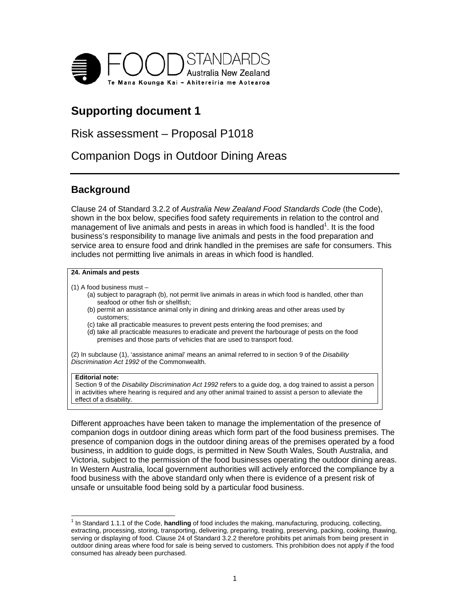

# **Supporting document 1**

## Risk assessment – Proposal P1018

Companion Dogs in Outdoor Dining Areas

## **Background**

Clause 24 of Standard 3.2.2 of *Australia New Zealand Food Standards Code* (the Code), shown in the box below, specifies food safety requirements in relation to the control and management of live animals and pests in areas in which food is handled $^1$ . It is the food business's responsibility to manage live animals and pests in the food preparation and service area to ensure food and drink handled in the premises are safe for consumers. This includes not permitting live animals in areas in which food is handled.

#### **24. Animals and pests**

- (1) A food business must
	- (a) subject to paragraph (b), not permit live animals in areas in which food is handled, other than seafood or other fish or shellfish;
	- (b) permit an assistance animal only in dining and drinking areas and other areas used by customers;
	- (c) take all practicable measures to prevent pests entering the food premises; and
	- (d) take all practicable measures to eradicate and prevent the harbourage of pests on the food premises and those parts of vehicles that are used to transport food.

(2) In subclause (1), 'assistance animal' means an animal referred to in section 9 of the *Disability Discrimination Act 1992* of the Commonwealth.

#### **Editorial note:**

Section 9 of the *Disability Discrimination Act 1992* refers to a guide dog, a dog trained to assist a person in activities where hearing is required and any other animal trained to assist a person to alleviate the effect of a disability.

Different approaches have been taken to manage the implementation of the presence of companion dogs in outdoor dining areas which form part of the food business premises. The presence of companion dogs in the outdoor dining areas of the premises operated by a food business, in addition to guide dogs, is permitted in New South Wales, South Australia, and Victoria, subject to the permission of the food businesses operating the outdoor dining areas. In Western Australia, local government authorities will actively enforced the compliance by a food business with the above standard only when there is evidence of a present risk of unsafe or unsuitable food being sold by a particular food business.

 1 In Standard 1.1.1 of the Code, **handling** of food includes the making, manufacturing, producing, collecting, extracting, processing, storing, transporting, delivering, preparing, treating, preserving, packing, cooking, thawing, serving or displaying of food. Clause 24 of Standard 3.2.2 therefore prohibits pet animals from being present in outdoor dining areas where food for sale is being served to customers. This prohibition does not apply if the food consumed has already been purchased.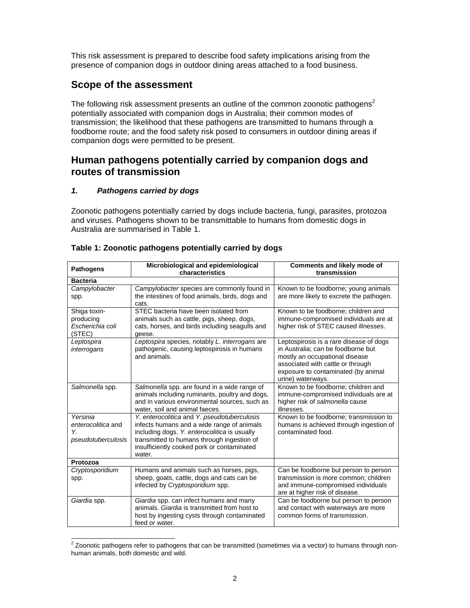This risk assessment is prepared to describe food safety implications arising from the presence of companion dogs in outdoor dining areas attached to a food business.

### **Scope of the assessment**

The following risk assessment presents an outline of the common zoonotic pathogens<sup>2</sup> potentially associated with companion dogs in Australia; their common modes of transmission; the likelihood that these pathogens are transmitted to humans through a foodborne route; and the food safety risk posed to consumers in outdoor dining areas if companion dogs were permitted to be present.

### **Human pathogens potentially carried by companion dogs and routes of transmission**

#### *1. Pathogens carried by dogs*

Zoonotic pathogens potentially carried by dogs include bacteria, fungi, parasites, protozoa and viruses. Pathogens shown to be transmittable to humans from domestic dogs in Australia are summarised in Table 1.

| <b>Pathogens</b>                                           | Microbiological and epidemiological<br>characteristics                                                                                                                                                                                          | <b>Comments and likely mode of</b><br>transmission                                                                                                                                                               |  |
|------------------------------------------------------------|-------------------------------------------------------------------------------------------------------------------------------------------------------------------------------------------------------------------------------------------------|------------------------------------------------------------------------------------------------------------------------------------------------------------------------------------------------------------------|--|
| <b>Bacteria</b>                                            |                                                                                                                                                                                                                                                 |                                                                                                                                                                                                                  |  |
| Campylobacter<br>spp.                                      | Campylobacter species are commonly found in<br>the intestines of food animals, birds, dogs and<br>cats.                                                                                                                                         | Known to be foodborne; young animals<br>are more likely to excrete the pathogen.                                                                                                                                 |  |
| Shiga toxin-<br>producing<br>Escherichia coli<br>(STEC)    | STEC bacteria have been isolated from<br>animals such as cattle, pigs, sheep, dogs,<br>cats, horses, and birds including seagulls and<br>geese.                                                                                                 | Known to be foodborne; children and<br>immune-compromised individuals are at<br>higher risk of STEC caused illnesses.                                                                                            |  |
| Leptospira<br>interrogans                                  | Leptospira species, notably L. interrogans are<br>pathogenic, causing leptospirosis in humans<br>and animals.                                                                                                                                   | Leptospirosis is a rare disease of dogs<br>in Australia; can be foodborne but<br>mostly an occupational disease<br>associated with cattle or through<br>exposure to contaminated (by animal<br>urine) waterways. |  |
| Salmonella spp.                                            | Salmonella spp. are found in a wide range of<br>animals including ruminants, poultry and dogs,<br>and in various environmental sources, such as<br>water, soil and animal faeces.                                                               | Known to be foodborne; children and<br>immune-compromised individuals are at<br>higher risk of salmonella cause<br>illnesses.                                                                                    |  |
| Yersinia<br>enterocolitica and<br>Υ.<br>pseudotuberculosis | Y. enterocolitica and Y. pseudotuberculosis<br>infects humans and a wide range of animals<br>including dogs. Y. enterocolitica is usually<br>transmitted to humans through ingestion of<br>insufficiently cooked pork or contaminated<br>water. | Known to be foodborne; transmission to<br>humans is achieved through ingestion of<br>contaminated food.                                                                                                          |  |
| Protozoa                                                   |                                                                                                                                                                                                                                                 |                                                                                                                                                                                                                  |  |
| Cryptosporidium<br>spp.                                    | Humans and animals such as horses, pigs,<br>sheep, goats, cattle, dogs and cats can be<br>infected by Cryptosporidium spp.                                                                                                                      | Can be foodborne but person to person<br>transmission is more common; children<br>and immune-compromised individuals<br>are at higher risk of disease.                                                           |  |
| Giardia spp.                                               | Giardia spp. can infect humans and many<br>animals. Giardia is transmitted from host to<br>host by ingesting cysts through contaminated<br>feed or water.                                                                                       | Can be foodborne but person to person<br>and contact with waterways are more<br>common forms of transmission.                                                                                                    |  |

#### **Table 1: Zoonotic pathogens potentially carried by dogs**

 2 Zoonotic pathogens refer to pathogens that can be transmitted (sometimes via a vector) to humans through nonhuman animals, both domestic and wild.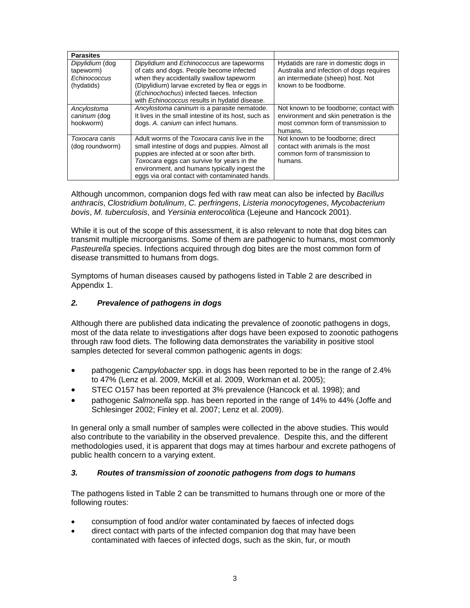| <b>Parasites</b>                                           |                                                                                                                                                                                                                                                                                                         |                                                                                                                                                  |
|------------------------------------------------------------|---------------------------------------------------------------------------------------------------------------------------------------------------------------------------------------------------------------------------------------------------------------------------------------------------------|--------------------------------------------------------------------------------------------------------------------------------------------------|
| Dipylidium (dog<br>tapeworm)<br>Echinococcus<br>(hydatids) | Dipylidium and Echinococcus are tapeworms<br>of cats and dogs. People become infected<br>when they accidentally swallow tapeworm<br>(Dipylidium) larvae excreted by flea or eggs in<br>(Echinochochus) infected faeces. Infection<br>with Echinococcus results in hydatid disease.                      | Hydatids are rare in domestic dogs in<br>Australia and infection of dogs requires<br>an intermediate (sheep) host. Not<br>known to be foodborne. |
| Ancylostoma<br>caninum (dog<br>hookworm)                   | Ancylostoma caninum is a parasite nematode.<br>It lives in the small intestine of its host, such as<br>dogs. A. canium can infect humans.                                                                                                                                                               | Not known to be foodborne; contact with<br>environment and skin penetration is the<br>most common form of transmission to<br>humans.             |
| Toxocara canis<br>(dog roundworm)                          | Adult worms of the <i>Toxocara canis</i> live in the<br>small intestine of dogs and puppies. Almost all<br>puppies are infected at or soon after birth.<br>Toxocara eggs can survive for years in the<br>environment, and humans typically ingest the<br>eggs via oral contact with contaminated hands. | Not known to be foodborne; direct<br>contact with animals is the most<br>common form of transmission to<br>humans.                               |

Although uncommon, companion dogs fed with raw meat can also be infected by *Bacillus anthracis*, *Clostridium botulinum*, *C. perfringens*, *Listeria monocytogenes*, *Mycobacterium bovis*, *M. tuberculosis*, and *Yersinia enterocolitica* (Lejeune and Hancock 2001).

While it is out of the scope of this assessment, it is also relevant to note that dog bites can transmit multiple microorganisms. Some of them are pathogenic to humans, most commonly *Pasteurella* species. Infections acquired through dog bites are the most common form of disease transmitted to humans from dogs.

Symptoms of human diseases caused by pathogens listed in Table 2 are described in Appendix 1.

#### *2. Prevalence of pathogens in dogs*

Although there are published data indicating the prevalence of zoonotic pathogens in dogs, most of the data relate to investigations after dogs have been exposed to zoonotic pathogens through raw food diets. The following data demonstrates the variability in positive stool samples detected for several common pathogenic agents in dogs:

- pathogenic *Campylobacter* spp. in dogs has been reported to be in the range of 2.4% to 47% (Lenz et al. 2009, McKill et al. 2009, Workman et al. 2005);
- STEC O157 has been reported at 3% prevalence (Hancock et al. 1998); and
- pathogenic *Salmonella* spp. has been reported in the range of 14% to 44% (Joffe and Schlesinger 2002; Finley et al. 2007; Lenz et al. 2009).

In general only a small number of samples were collected in the above studies. This would also contribute to the variability in the observed prevalence. Despite this, and the different methodologies used, it is apparent that dogs may at times harbour and excrete pathogens of public health concern to a varying extent.

#### *3. Routes of transmission of zoonotic pathogens from dogs to humans*

The pathogens listed in Table 2 can be transmitted to humans through one or more of the following routes:

- consumption of food and/or water contaminated by faeces of infected dogs
- direct contact with parts of the infected companion dog that may have been contaminated with faeces of infected dogs, such as the skin, fur, or mouth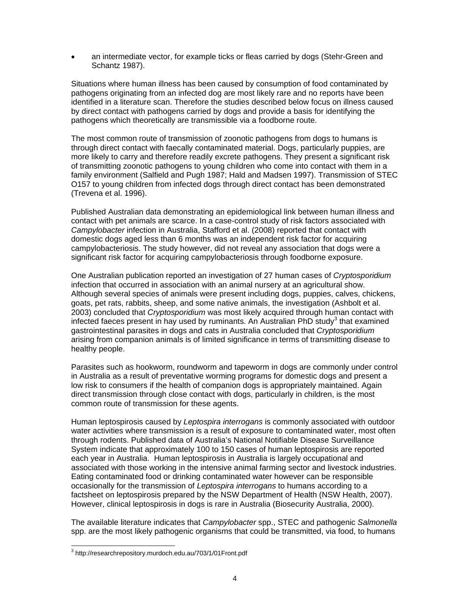an intermediate vector, for example ticks or fleas carried by dogs (Stehr-Green and Schantz 1987).

Situations where human illness has been caused by consumption of food contaminated by pathogens originating from an infected dog are most likely rare and no reports have been identified in a literature scan. Therefore the studies described below focus on illness caused by direct contact with pathogens carried by dogs and provide a basis for identifying the pathogens which theoretically are transmissible via a foodborne route.

The most common route of transmission of zoonotic pathogens from dogs to humans is through direct contact with faecally contaminated material. Dogs, particularly puppies, are more likely to carry and therefore readily excrete pathogens. They present a significant risk of transmitting zoonotic pathogens to young children who come into contact with them in a family environment (Salfield and Pugh 1987; Hald and Madsen 1997). Transmission of STEC O157 to young children from infected dogs through direct contact has been demonstrated (Trevena et al. 1996).

Published Australian data demonstrating an epidemiological link between human illness and contact with pet animals are scarce. In a case-control study of risk factors associated with *Campylobacter* infection in Australia, Stafford et al. (2008) reported that contact with domestic dogs aged less than 6 months was an independent risk factor for acquiring campylobacteriosis. The study however, did not reveal any association that dogs were a significant risk factor for acquiring campylobacteriosis through foodborne exposure.

One Australian publication reported an investigation of 27 human cases of *Cryptosporidium* infection that occurred in association with an animal nursery at an agricultural show. Although several species of animals were present including dogs, puppies, calves, chickens, goats, pet rats, rabbits, sheep, and some native animals, the investigation (Ashbolt et al. 2003) concluded that *Cryptosporidium* was most likely acquired through human contact with infected faeces present in hay used by ruminants. An Australian PhD study<sup>3</sup> that examined gastrointestinal parasites in dogs and cats in Australia concluded that *Cryptosporidium* arising from companion animals is of limited significance in terms of transmitting disease to healthy people.

Parasites such as hookworm, roundworm and tapeworm in dogs are commonly under control in Australia as a result of preventative worming programs for domestic dogs and present a low risk to consumers if the health of companion dogs is appropriately maintained. Again direct transmission through close contact with dogs, particularly in children, is the most common route of transmission for these agents.

Human leptospirosis caused by *Leptospira interrogans* is commonly associated with outdoor water activities where transmission is a result of exposure to contaminated water, most often through rodents. Published data of Australia's National Notifiable Disease Surveillance System indicate that approximately 100 to 150 cases of human leptospirosis are reported each year in Australia. Human leptospirosis in Australia is largely occupational and associated with those working in the intensive animal farming sector and livestock industries. Eating contaminated food or drinking contaminated water however can be responsible occasionally for the transmission of *Leptospira interrogans* to humans according to a factsheet on leptospirosis prepared by the NSW Department of Health (NSW Health, 2007). However, clinical leptospirosis in dogs is rare in Australia (Biosecurity Australia, 2000).

The available literature indicates that *Campylobacter* spp., STEC and pathogenic *Salmonella* spp. are the most likely pathogenic organisms that could be transmitted, via food, to humans

 3 http://researchrepository.murdoch.edu.au/703/1/01Front.pdf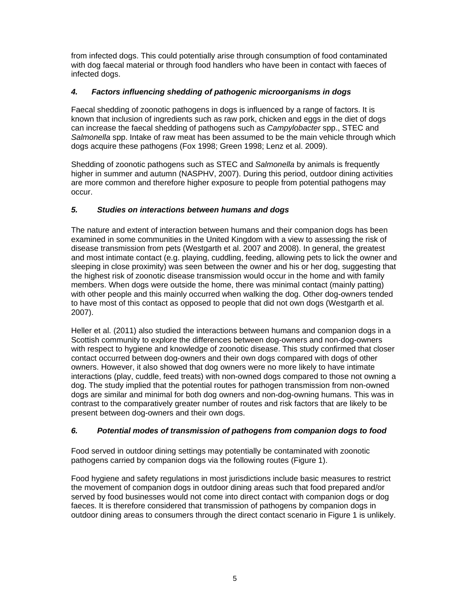from infected dogs. This could potentially arise through consumption of food contaminated with dog faecal material or through food handlers who have been in contact with faeces of infected dogs.

#### *4. Factors influencing shedding of pathogenic microorganisms in dogs*

Faecal shedding of zoonotic pathogens in dogs is influenced by a range of factors. It is known that inclusion of ingredients such as raw pork, chicken and eggs in the diet of dogs can increase the faecal shedding of pathogens such as *Campylobacter* spp., STEC and *Salmonella* spp. Intake of raw meat has been assumed to be the main vehicle through which dogs acquire these pathogens (Fox 1998; Green 1998; Lenz et al. 2009).

Shedding of zoonotic pathogens such as STEC and *Salmonella* by animals is frequently higher in summer and autumn (NASPHV, 2007). During this period, outdoor dining activities are more common and therefore higher exposure to people from potential pathogens may occur.

### *5. Studies on interactions between humans and dogs*

The nature and extent of interaction between humans and their companion dogs has been examined in some communities in the United Kingdom with a view to assessing the risk of disease transmission from pets (Westgarth et al. 2007 and 2008). In general, the greatest and most intimate contact (e.g. playing, cuddling, feeding, allowing pets to lick the owner and sleeping in close proximity) was seen between the owner and his or her dog, suggesting that the highest risk of zoonotic disease transmission would occur in the home and with family members. When dogs were outside the home, there was minimal contact (mainly patting) with other people and this mainly occurred when walking the dog. Other dog-owners tended to have most of this contact as opposed to people that did not own dogs (Westgarth et al. 2007).

Heller et al. (2011) also studied the interactions between humans and companion dogs in a Scottish community to explore the differences between dog-owners and non-dog-owners with respect to hygiene and knowledge of zoonotic disease. This study confirmed that closer contact occurred between dog-owners and their own dogs compared with dogs of other owners. However, it also showed that dog owners were no more likely to have intimate interactions (play, cuddle, feed treats) with non-owned dogs compared to those not owning a dog. The study implied that the potential routes for pathogen transmission from non-owned dogs are similar and minimal for both dog owners and non-dog-owning humans. This was in contrast to the comparatively greater number of routes and risk factors that are likely to be present between dog-owners and their own dogs.

### *6. Potential modes of transmission of pathogens from companion dogs to food*

Food served in outdoor dining settings may potentially be contaminated with zoonotic pathogens carried by companion dogs via the following routes (Figure 1).

Food hygiene and safety regulations in most jurisdictions include basic measures to restrict the movement of companion dogs in outdoor dining areas such that food prepared and/or served by food businesses would not come into direct contact with companion dogs or dog faeces. It is therefore considered that transmission of pathogens by companion dogs in outdoor dining areas to consumers through the direct contact scenario in Figure 1 is unlikely.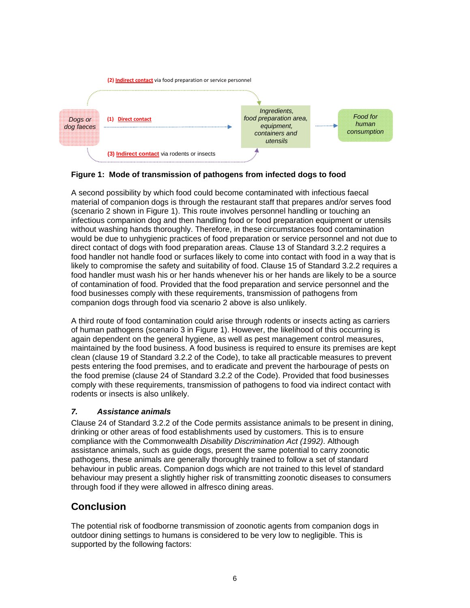

### **Figure 1: Mode of transmission of pathogens from infected dogs to food**

A second possibility by which food could become contaminated with infectious faecal material of companion dogs is through the restaurant staff that prepares and/or serves food (scenario 2 shown in Figure 1). This route involves personnel handling or touching an infectious companion dog and then handling food or food preparation equipment or utensils without washing hands thoroughly. Therefore, in these circumstances food contamination would be due to unhygienic practices of food preparation or service personnel and not due to direct contact of dogs with food preparation areas. Clause 13 of Standard 3.2.2 requires a food handler not handle food or surfaces likely to come into contact with food in a way that is likely to compromise the safety and suitability of food. Clause 15 of Standard 3.2.2 requires a food handler must wash his or her hands whenever his or her hands are likely to be a source of contamination of food. Provided that the food preparation and service personnel and the food businesses comply with these requirements, transmission of pathogens from companion dogs through food via scenario 2 above is also unlikely.

A third route of food contamination could arise through rodents or insects acting as carriers of human pathogens (scenario 3 in Figure 1). However, the likelihood of this occurring is again dependent on the general hygiene, as well as pest management control measures, maintained by the food business. A food business is required to ensure its premises are kept clean (clause 19 of Standard 3.2.2 of the Code), to take all practicable measures to prevent pests entering the food premises, and to eradicate and prevent the harbourage of pests on the food premise (clause 24 of Standard 3.2.2 of the Code). Provided that food businesses comply with these requirements, transmission of pathogens to food via indirect contact with rodents or insects is also unlikely.

### *7. Assistance animals*

Clause 24 of Standard 3.2.2 of the Code permits assistance animals to be present in dining, drinking or other areas of food establishments used by customers. This is to ensure compliance with the Commonwealth *Disability Discrimination Act (1992)*. Although assistance animals, such as guide dogs, present the same potential to carry zoonotic pathogens, these animals are generally thoroughly trained to follow a set of standard behaviour in public areas. Companion dogs which are not trained to this level of standard behaviour may present a slightly higher risk of transmitting zoonotic diseases to consumers through food if they were allowed in alfresco dining areas.

## **Conclusion**

The potential risk of foodborne transmission of zoonotic agents from companion dogs in outdoor dining settings to humans is considered to be very low to negligible. This is supported by the following factors: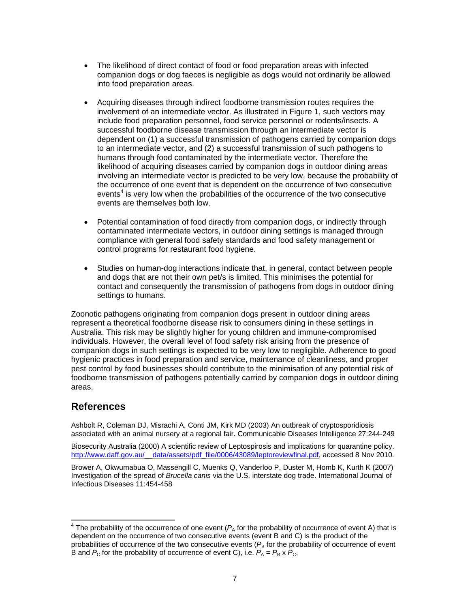- The likelihood of direct contact of food or food preparation areas with infected companion dogs or dog faeces is negligible as dogs would not ordinarily be allowed into food preparation areas.
- Acquiring diseases through indirect foodborne transmission routes requires the involvement of an intermediate vector. As illustrated in Figure 1, such vectors may include food preparation personnel, food service personnel or rodents/insects. A successful foodborne disease transmission through an intermediate vector is dependent on (1) a successful transmission of pathogens carried by companion dogs to an intermediate vector, and (2) a successful transmission of such pathogens to humans through food contaminated by the intermediate vector. Therefore the likelihood of acquiring diseases carried by companion dogs in outdoor dining areas involving an intermediate vector is predicted to be very low, because the probability of the occurrence of one event that is dependent on the occurrence of two consecutive events<sup>4</sup> is very low when the probabilities of the occurrence of the two consecutive events are themselves both low.
- Potential contamination of food directly from companion dogs, or indirectly through contaminated intermediate vectors, in outdoor dining settings is managed through compliance with general food safety standards and food safety management or control programs for restaurant food hygiene.
- Studies on human-dog interactions indicate that, in general, contact between people and dogs that are not their own pet/s is limited. This minimises the potential for contact and consequently the transmission of pathogens from dogs in outdoor dining settings to humans.

Zoonotic pathogens originating from companion dogs present in outdoor dining areas represent a theoretical foodborne disease risk to consumers dining in these settings in Australia. This risk may be slightly higher for young children and immune-compromised individuals. However, the overall level of food safety risk arising from the presence of companion dogs in such settings is expected to be very low to negligible. Adherence to good hygienic practices in food preparation and service, maintenance of cleanliness, and proper pest control by food businesses should contribute to the minimisation of any potential risk of foodborne transmission of pathogens potentially carried by companion dogs in outdoor dining areas.

### **References**

 $\overline{a}$ 

Ashbolt R, Coleman DJ, Misrachi A, Conti JM, Kirk MD (2003) An outbreak of cryptosporidiosis associated with an animal nursery at a regional fair. Communicable Diseases Intelligence 27:244-249

Biosecurity Australia (2000) A scientific review of Leptospirosis and implications for quarantine policy. http://www.daff.gov.au/\_\_data/assets/pdf\_file/0006/43089/leptoreviewfinal.pdf, accessed 8 Nov 2010.

Brower A, Okwumabua O, Massengill C, Muenks Q, Vanderloo P, Duster M, Homb K, Kurth K (2007) Investigation of the spread of *Brucella canis* via the U.S. interstate dog trade. International Journal of Infectious Diseases 11:454-458

 $4$  The probability of the occurrence of one event ( $P_A$  for the probability of occurrence of event A) that is dependent on the occurrence of two consecutive events (event B and C) is the product of the probabilities of occurrence of the two consecutive events  $(P<sub>B</sub>$  for the probability of occurrence of event B and  $P_c$  for the probability of occurrence of event C), i.e.  $P_A = P_B \times P_C$ .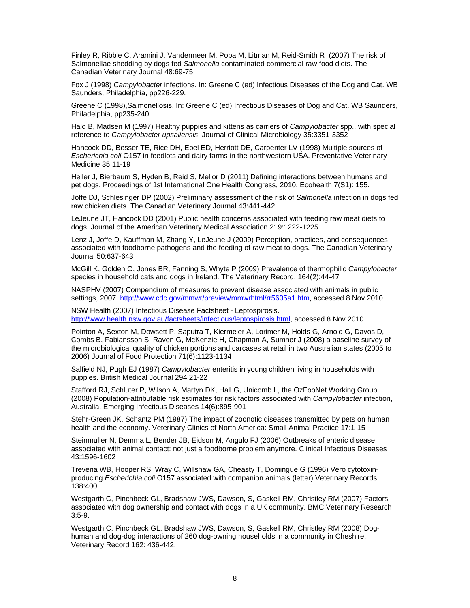Finley R, Ribble C, Aramini J, Vandermeer M, Popa M, Litman M, Reid-Smith R (2007) The risk of Salmonellae shedding by dogs fed *Salmonella* contaminated commercial raw food diets. The Canadian Veterinary Journal 48:69-75

Fox J (1998) *Campylobacter* infections. In: Greene C (ed) Infectious Diseases of the Dog and Cat. WB Saunders, Philadelphia, pp226-229.

Greene C (1998),Salmonellosis. In: Greene C (ed) Infectious Diseases of Dog and Cat. WB Saunders, Philadelphia, pp235-240

Hald B, Madsen M (1997) Healthy puppies and kittens as carriers of *Campylobacter* spp., with special reference to *Campylobacter upsaliensis*. Journal of Clinical Microbiology 35:3351-3352

Hancock DD, Besser TE, Rice DH, Ebel ED, Herriott DE, Carpenter LV (1998) Multiple sources of *Escherichia coli* O157 in feedlots and dairy farms in the northwestern USA. Preventative Veterinary Medicine 35:11-19

Heller J, Bierbaum S, Hyden B, Reid S, Mellor D (2011) Defining interactions between humans and pet dogs. Proceedings of 1st International One Health Congress, 2010, Ecohealth 7(S1): 155.

Joffe DJ, Schlesinger DP (2002) Preliminary assessment of the risk of *Salmonella* infection in dogs fed raw chicken diets. The Canadian Veterinary Journal 43:441-442

LeJeune JT, Hancock DD (2001) Public health concerns associated with feeding raw meat diets to dogs. Journal of the American Veterinary Medical Association 219:1222-1225

Lenz J, Joffe D, Kauffman M, Zhang Y, LeJeune J (2009) Perception, practices, and consequences associated with foodborne pathogens and the feeding of raw meat to dogs. The Canadian Veterinary Journal 50:637-643

McGill K, Golden O, Jones BR, Fanning S, Whyte P (2009) Prevalence of thermophilic *Campylobacter* species in household cats and dogs in Ireland. The Veterinary Record, 164(2):44-47

NASPHV (2007) Compendium of measures to prevent disease associated with animals in public settings, 2007. http://www.cdc.gov/mmwr/preview/mmwrhtml/rr5605a1.htm, accessed 8 Nov 2010

NSW Health (2007) Infectious Disease Factsheet - Leptospirosis. http://www.health.nsw.gov.au/factsheets/infectious/leptospirosis.html, accessed 8 Nov 2010.

Pointon A, Sexton M, Dowsett P, Saputra T, Kiermeier A, Lorimer M, Holds G, Arnold G, Davos D, Combs B, Fabiansson S, Raven G, McKenzie H, Chapman A, Sumner J (2008) a baseline survey of the microbiological quality of chicken portions and carcases at retail in two Australian states (2005 to 2006) Journal of Food Protection 71(6):1123-1134

Salfield NJ, Pugh EJ (1987) *Campylobacter* enteritis in young children living in households with puppies. British Medical Journal 294:21-22

Stafford RJ, Schluter P, Wilson A, Martyn DK, Hall G, Unicomb L, the OzFooNet Working Group (2008) Population-attributable risk estimates for risk factors associated with *Campylobacter* infection, Australia. Emerging Infectious Diseases 14(6):895-901

Stehr-Green JK, Schantz PM (1987) The impact of zoonotic diseases transmitted by pets on human health and the economy. Veterinary Clinics of North America: Small Animal Practice 17:1-15

Steinmuller N, Demma L, Bender JB, Eidson M, Angulo FJ (2006) Outbreaks of enteric disease associated with animal contact: not just a foodborne problem anymore. Clinical Infectious Diseases 43:1596-1602

Trevena WB, Hooper RS, Wray C, Willshaw GA, Cheasty T, Domingue G (1996) Vero cytotoxinproducing *Escherichia coli* O157 associated with companion animals (letter) Veterinary Records 138:400

Westgarth C, Pinchbeck GL, Bradshaw JWS, Dawson, S, Gaskell RM, Christley RM (2007) Factors associated with dog ownership and contact with dogs in a UK community. BMC Veterinary Research 3:5-9.

Westgarth C, Pinchbeck GL, Bradshaw JWS, Dawson, S, Gaskell RM, Christley RM (2008) Doghuman and dog-dog interactions of 260 dog-owning households in a community in Cheshire. Veterinary Record 162: 436-442.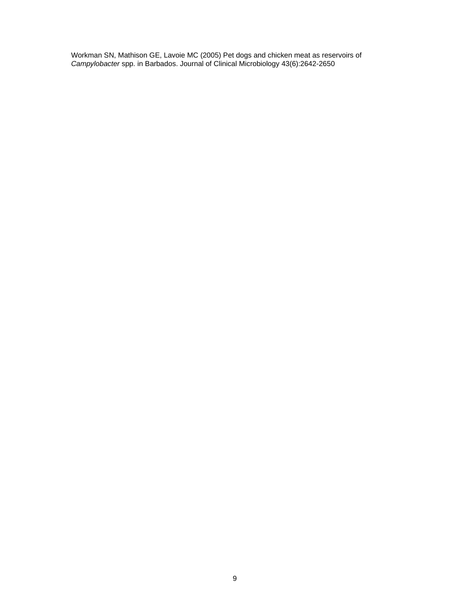Workman SN, Mathison GE, Lavoie MC (2005) Pet dogs and chicken meat as reservoirs of *Campylobacter* spp. in Barbados. Journal of Clinical Microbiology 43(6):2642-2650